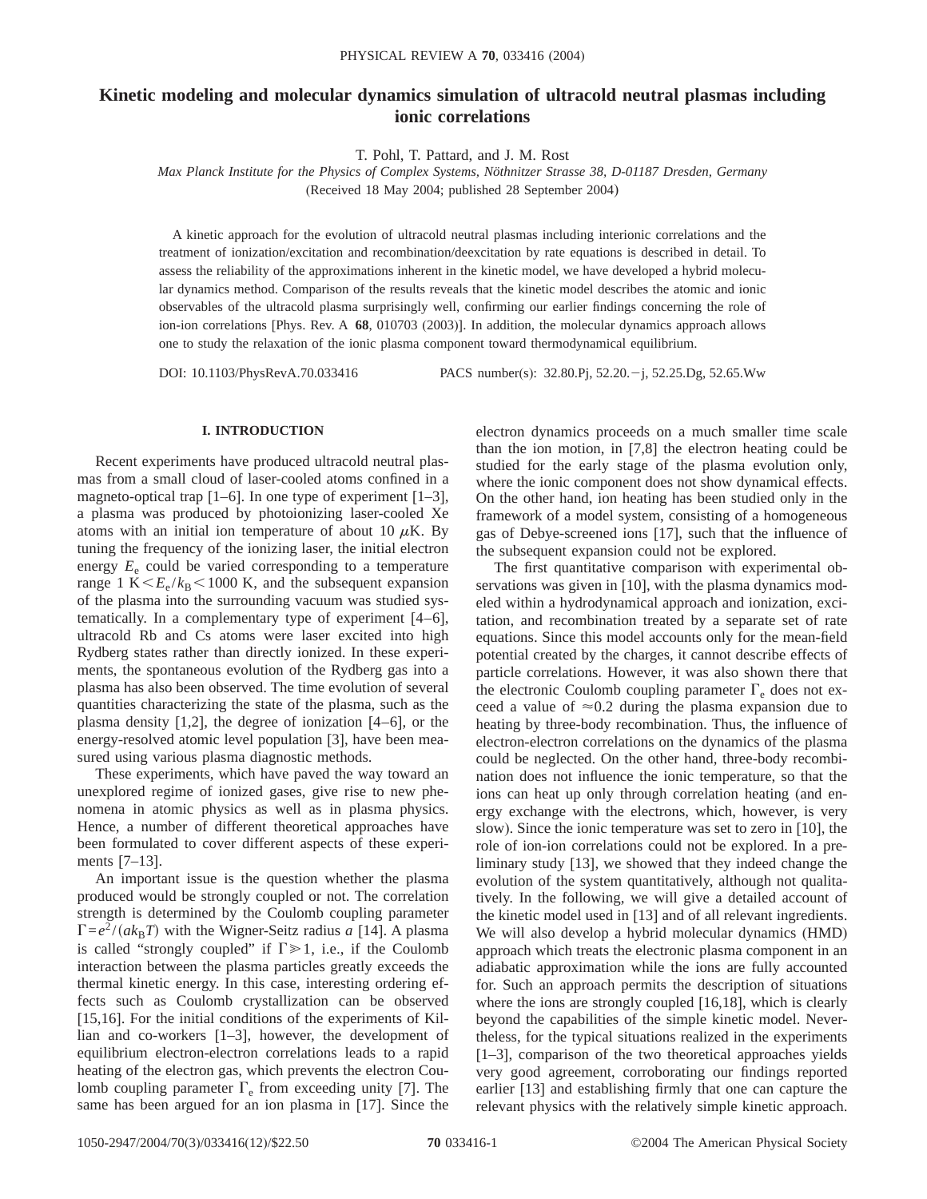# **Kinetic modeling and molecular dynamics simulation of ultracold neutral plasmas including ionic correlations**

T. Pohl, T. Pattard, and J. M. Rost

*Max Planck Institute for the Physics of Complex Systems, Nöthnitzer Strasse 38, D-01187 Dresden, Germany* (Received 18 May 2004; published 28 September 2004)

A kinetic approach for the evolution of ultracold neutral plasmas including interionic correlations and the treatment of ionization/excitation and recombination/deexcitation by rate equations is described in detail. To assess the reliability of the approximations inherent in the kinetic model, we have developed a hybrid molecular dynamics method. Comparison of the results reveals that the kinetic model describes the atomic and ionic observables of the ultracold plasma surprisingly well, confirming our earlier findings concerning the role of ion-ion correlations [Phys. Rev. A **68**, 010703 (2003)]. In addition, the molecular dynamics approach allows one to study the relaxation of the ionic plasma component toward thermodynamical equilibrium.

DOI: 10.1103/PhysRevA.70.033416 PACS number(s): 32.80.Pj, 52.20. - j, 52.25.Dg, 52.65.Ww

## **I. INTRODUCTION**

Recent experiments have produced ultracold neutral plasmas from a small cloud of laser-cooled atoms confined in a magneto-optical trap [1–6]. In one type of experiment [1–3], a plasma was produced by photoionizing laser-cooled Xe atoms with an initial ion temperature of about 10  $\mu$ K. By tuning the frequency of the ionizing laser, the initial electron energy  $E_e$  could be varied corresponding to a temperature range 1 K $\lt E_e / k_B \lt 1000$  K, and the subsequent expansion of the plasma into the surrounding vacuum was studied systematically. In a complementary type of experiment [4–6], ultracold Rb and Cs atoms were laser excited into high Rydberg states rather than directly ionized. In these experiments, the spontaneous evolution of the Rydberg gas into a plasma has also been observed. The time evolution of several quantities characterizing the state of the plasma, such as the plasma density [1,2], the degree of ionization [4–6], or the energy-resolved atomic level population [3], have been measured using various plasma diagnostic methods.

These experiments, which have paved the way toward an unexplored regime of ionized gases, give rise to new phenomena in atomic physics as well as in plasma physics. Hence, a number of different theoretical approaches have been formulated to cover different aspects of these experiments [7–13].

An important issue is the question whether the plasma produced would be strongly coupled or not. The correlation strength is determined by the Coulomb coupling parameter  $\Gamma = e^2 / (ak_B T)$  with the Wigner-Seitz radius *a* [14]. A plasma is called "strongly coupled" if  $\Gamma \geq 1$ , i.e., if the Coulomb interaction between the plasma particles greatly exceeds the thermal kinetic energy. In this case, interesting ordering effects such as Coulomb crystallization can be observed [15,16]. For the initial conditions of the experiments of Killian and co-workers [1–3], however, the development of equilibrium electron-electron correlations leads to a rapid heating of the electron gas, which prevents the electron Coulomb coupling parameter  $\Gamma_e$  from exceeding unity [7]. The same has been argued for an ion plasma in [17]. Since the electron dynamics proceeds on a much smaller time scale than the ion motion, in [7,8] the electron heating could be studied for the early stage of the plasma evolution only, where the ionic component does not show dynamical effects. On the other hand, ion heating has been studied only in the framework of a model system, consisting of a homogeneous gas of Debye-screened ions [17], such that the influence of the subsequent expansion could not be explored.

The first quantitative comparison with experimental observations was given in [10], with the plasma dynamics modeled within a hydrodynamical approach and ionization, excitation, and recombination treated by a separate set of rate equations. Since this model accounts only for the mean-field potential created by the charges, it cannot describe effects of particle correlations. However, it was also shown there that the electronic Coulomb coupling parameter  $\Gamma_e$  does not exceed a value of  $\approx 0.2$  during the plasma expansion due to heating by three-body recombination. Thus, the influence of electron-electron correlations on the dynamics of the plasma could be neglected. On the other hand, three-body recombination does not influence the ionic temperature, so that the ions can heat up only through correlation heating (and energy exchange with the electrons, which, however, is very slow). Since the ionic temperature was set to zero in [10], the role of ion-ion correlations could not be explored. In a preliminary study [13], we showed that they indeed change the evolution of the system quantitatively, although not qualitatively. In the following, we will give a detailed account of the kinetic model used in [13] and of all relevant ingredients. We will also develop a hybrid molecular dynamics (HMD) approach which treats the electronic plasma component in an adiabatic approximation while the ions are fully accounted for. Such an approach permits the description of situations where the ions are strongly coupled [16,18], which is clearly beyond the capabilities of the simple kinetic model. Nevertheless, for the typical situations realized in the experiments [1–3], comparison of the two theoretical approaches yields very good agreement, corroborating our findings reported earlier [13] and establishing firmly that one can capture the relevant physics with the relatively simple kinetic approach.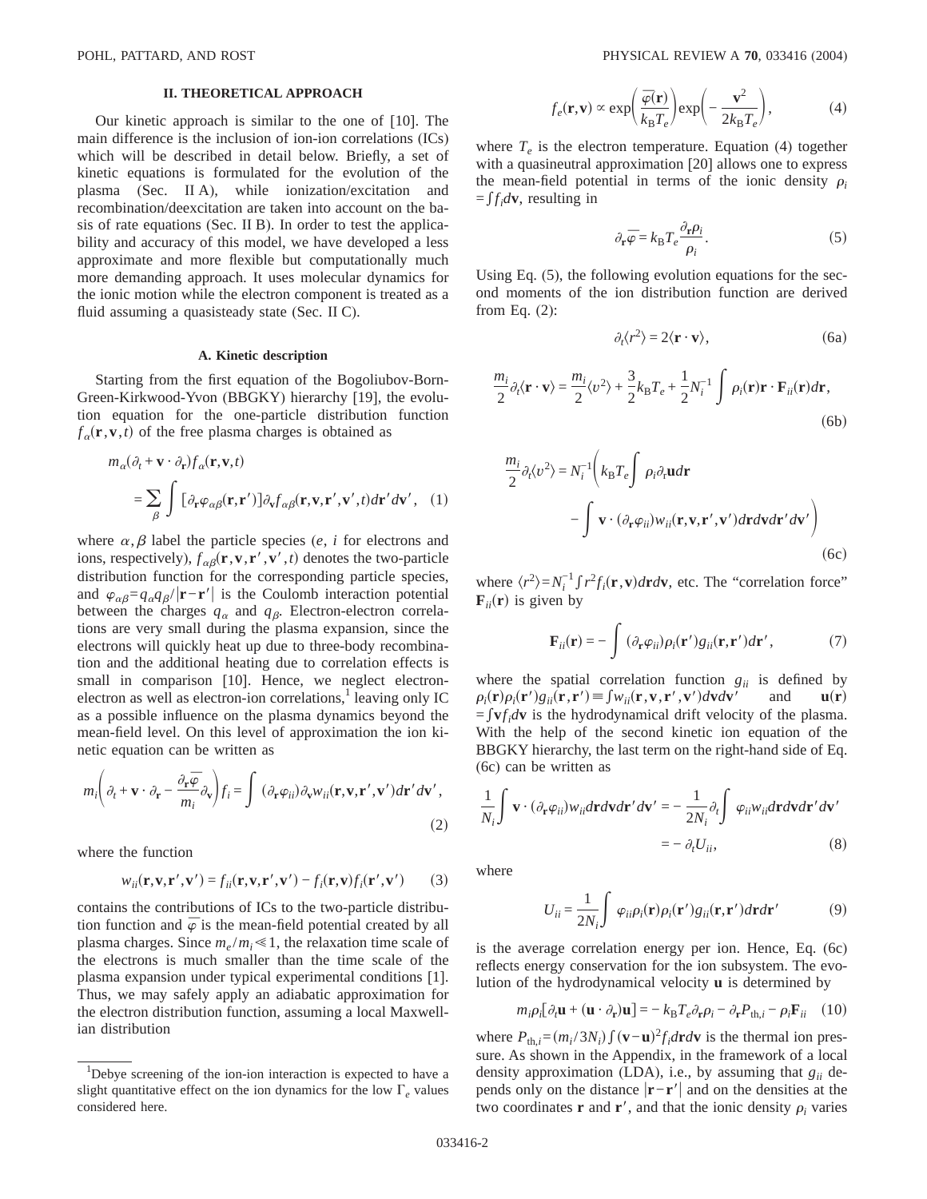## **II. THEORETICAL APPROACH**

Our kinetic approach is similar to the one of [10]. The main difference is the inclusion of ion-ion correlations (ICs) which will be described in detail below. Briefly, a set of kinetic equations is formulated for the evolution of the plasma (Sec. II A), while ionization/excitation and recombination/deexcitation are taken into account on the basis of rate equations (Sec. II B). In order to test the applicability and accuracy of this model, we have developed a less approximate and more flexible but computationally much more demanding approach. It uses molecular dynamics for the ionic motion while the electron component is treated as a fluid assuming a quasisteady state (Sec. II C).

## **A. Kinetic description**

Starting from the first equation of the Bogoliubov-Born-Green-Kirkwood-Yvon (BBGKY) hierarchy [19], the evolution equation for the one-particle distribution function  $f_{\alpha}(\mathbf{r}, \mathbf{v}, t)$  of the free plasma charges is obtained as

$$
m_{\alpha}(\partial_t + \mathbf{v} \cdot \partial_{\mathbf{r}}) f_{\alpha}(\mathbf{r}, \mathbf{v}, t)
$$
  
= 
$$
\sum_{\beta} \int [\partial_{\mathbf{r}} \varphi_{\alpha\beta}(\mathbf{r}, \mathbf{r}')] \partial_{\mathbf{v}} f_{\alpha\beta}(\mathbf{r}, \mathbf{v}, \mathbf{r}', \mathbf{v}', t) d\mathbf{r}' d\mathbf{v}', (1)
$$

where  $\alpha, \beta$  label the particle species (*e*, *i* for electrons and ions, respectively),  $f_{\alpha\beta}(\mathbf{r}, \mathbf{v}, \mathbf{r}', \mathbf{v}', t)$  denotes the two-particle distribution function for the corresponding particle species, and  $\varphi_{\alpha\beta} = q_{\alpha}q_{\beta}/|\mathbf{r} - \mathbf{r}'|$  is the Coulomb interaction potential between the charges  $q_\alpha$  and  $q_\beta$ . Electron-electron correlations are very small during the plasma expansion, since the electrons will quickly heat up due to three-body recombination and the additional heating due to correlation effects is small in comparison [10]. Hence, we neglect electronelectron as well as electron-ion correlations, $<sup>1</sup>$  leaving only IC</sup> as a possible influence on the plasma dynamics beyond the mean-field level. On this level of approximation the ion kinetic equation can be written as

$$
m_i \left( \partial_t + \mathbf{v} \cdot \partial_{\mathbf{r}} - \frac{\partial_{\mathbf{r}} \overline{\varphi}}{m_i} \partial_{\mathbf{v}} \right) f_i = \int \left( \partial_{\mathbf{r}} \varphi_{ii} \right) \partial_{\mathbf{v}} w_{ii}(\mathbf{r}, \mathbf{v}, \mathbf{r}', \mathbf{v}') d\mathbf{r}' d\mathbf{v}',\tag{2}
$$

where the function

$$
w_{ii}(\mathbf{r}, \mathbf{v}, \mathbf{r}', \mathbf{v}') = f_{ii}(\mathbf{r}, \mathbf{v}, \mathbf{r}', \mathbf{v}') - f_i(\mathbf{r}, \mathbf{v}) f_i(\mathbf{r}', \mathbf{v}') \qquad (3)
$$

contains the contributions of ICs to the two-particle distribution function and  $\bar{\varphi}$  is the mean-field potential created by all plasma charges. Since  $m_e/m_i \ll 1$ , the relaxation time scale of the electrons is much smaller than the time scale of the plasma expansion under typical experimental conditions [1]. Thus, we may safely apply an adiabatic approximation for the electron distribution function, assuming a local Maxwellian distribution

$$
f_e(\mathbf{r}, \mathbf{v}) \propto \exp\bigg(\frac{\overline{\varphi}(\mathbf{r})}{k_\text{B}T_e}\bigg) \exp\bigg(-\frac{\mathbf{v}^2}{2k_\text{B}T_e}\bigg),\tag{4}
$$

where  $T_e$  is the electron temperature. Equation (4) together with a quasineutral approximation [20] allows one to express the mean-field potential in terms of the ionic density  $\rho_i$  $=f f_i d\mathbf{v}$ , resulting in

$$
\partial_{\mathbf{r}} \overline{\varphi} = k_{\rm B} T_e \frac{\partial_{\mathbf{r}} \rho_i}{\rho_i}.
$$
 (5)

Using Eq. (5), the following evolution equations for the second moments of the ion distribution function are derived from Eq. (2):

$$
\partial_t \langle r^2 \rangle = 2 \langle \mathbf{r} \cdot \mathbf{v} \rangle, \tag{6a}
$$

$$
\frac{m_i}{2}\partial_t \langle \mathbf{r} \cdot \mathbf{v} \rangle = \frac{m_i}{2} \langle v^2 \rangle + \frac{3}{2} k_\text{B} T_e + \frac{1}{2} N_i^{-1} \int \rho_i(\mathbf{r}) \mathbf{r} \cdot \mathbf{F}_{ii}(\mathbf{r}) d\mathbf{r},\tag{6b}
$$

$$
\frac{m_i}{2} \partial_t \langle v^2 \rangle = N_i^{-1} \left( k_B T_e \int \rho_i \partial_r \mathbf{u} d\mathbf{r} - \int \mathbf{v} \cdot (\partial_\mathbf{r} \varphi_{ii}) w_{ii} (\mathbf{r}, \mathbf{v}, \mathbf{r}', \mathbf{v}') d\mathbf{r} d\mathbf{v} d\mathbf{r}' d\mathbf{v}' \right)
$$
(6c)

where  $\langle r^2 \rangle = N_i^{-1} \int r^2 f_i(\mathbf{r}, \mathbf{v}) d\mathbf{r} d\mathbf{v}$ , etc. The "correlation force"  $\mathbf{F}_{ii}(\mathbf{r})$  is given by

$$
\mathbf{F}_{ii}(\mathbf{r}) = -\int (\partial_{\mathbf{r}} \varphi_{ii}) \rho_i(\mathbf{r}') g_{ii}(\mathbf{r}, \mathbf{r}') d\mathbf{r}', \qquad (7)
$$

where the spatial correlation function  $g_{ii}$  is defined by  $\rho_i(\mathbf{r})\rho_i(\mathbf{r}')g_{ii}(\mathbf{r},\mathbf{r}') \equiv \int w_{ii}(\mathbf{r},\mathbf{v},\mathbf{r}',\mathbf{v}')d\mathbf{v}d\mathbf{v}'$  and  $\mathbf{u}(\mathbf{r})$  $=\int v f_i dv$  is the hydrodynamical drift velocity of the plasma. With the help of the second kinetic ion equation of the BBGKY hierarchy, the last term on the right-hand side of Eq. (6c) can be written as

$$
\frac{1}{N_i} \int \mathbf{v} \cdot (\partial_{\mathbf{r}} \varphi_{ii}) w_{ii} d\mathbf{r} d\mathbf{v} d\mathbf{r}' d\mathbf{v}' = -\frac{1}{2N_i} \partial_t \int \varphi_{ii} w_{ii} d\mathbf{r} d\mathbf{v} d\mathbf{r}' d\mathbf{v}'
$$

$$
= -\partial_t U_{ii}, \qquad (8)
$$

where

$$
U_{ii} = \frac{1}{2N_i} \int \varphi_{ii} \rho_i(\mathbf{r}) \rho_i(\mathbf{r}') g_{ii}(\mathbf{r}, \mathbf{r}') d\mathbf{r} d\mathbf{r}'
$$
 (9)

is the average correlation energy per ion. Hence, Eq. (6c) reflects energy conservation for the ion subsystem. The evolution of the hydrodynamical velocity **u** is determined by

$$
m_i \rho_i [\partial_t \mathbf{u} + (\mathbf{u} \cdot \partial_{\mathbf{r}}) \mathbf{u}] = -k_\text{B} T_e \partial_{\mathbf{r}} \rho_i - \partial_{\mathbf{r}} P_{\text{th},i} - \rho_i \mathbf{F}_{ii} \quad (10)
$$

where  $P_{\text{th},i} = (m_i/3N_i) \int (\mathbf{v} - \mathbf{u})^2 f_i d\mathbf{r} d\mathbf{v}$  is the thermal ion pressure. As shown in the Appendix, in the framework of a local density approximation (LDA), i.e., by assuming that *gii* depends only on the distance  $|\mathbf{r}-\mathbf{r}'|$  and on the densities at the two coordinates **r** and **r**<sup> $\prime$ </sup>, and that the ionic density  $\rho_i$  varies

<sup>&</sup>lt;sup>1</sup>Debye screening of the ion-ion interaction is expected to have a slight quantitative effect on the ion dynamics for the low  $\Gamma_{\rho}$  values considered here.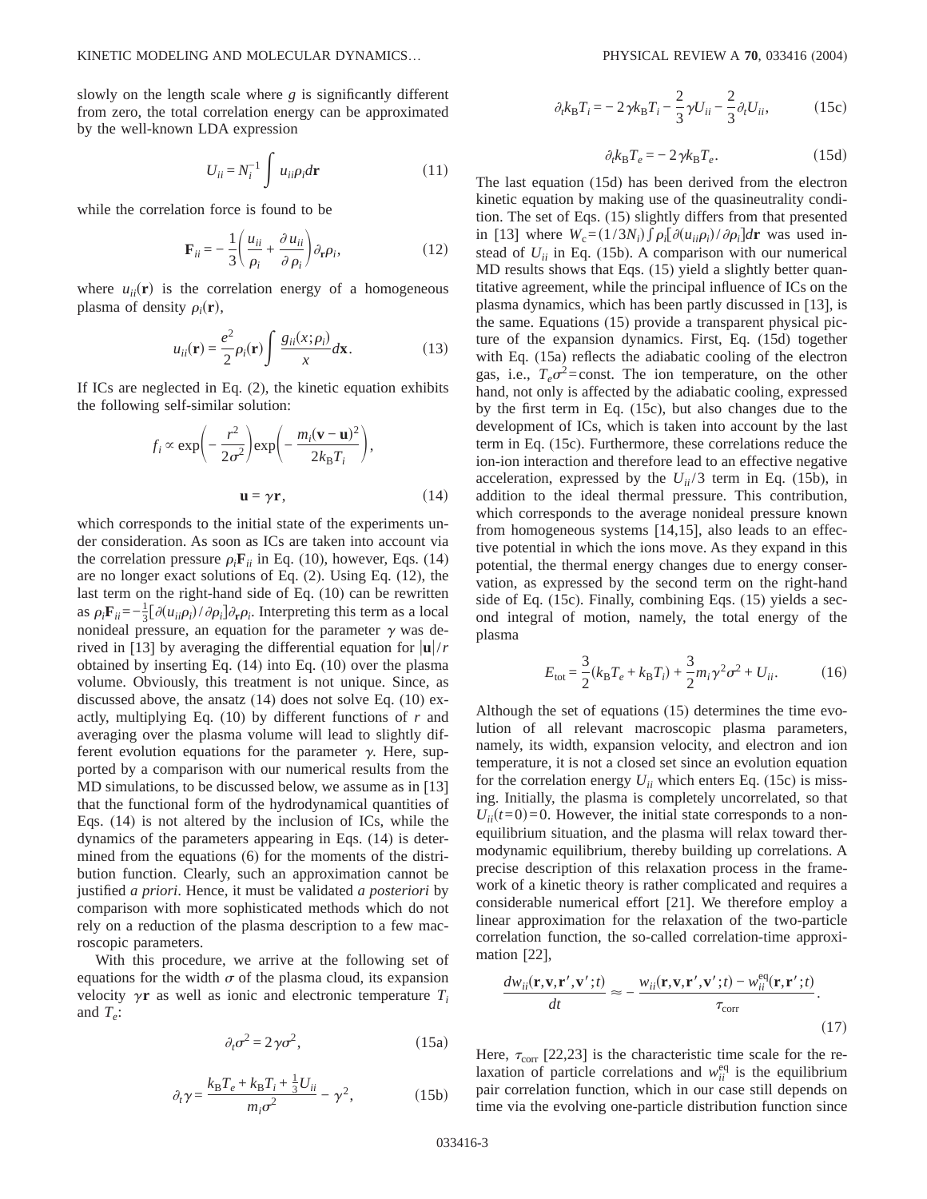slowly on the length scale where *g* is significantly different from zero, the total correlation energy can be approximated by the well-known LDA expression

$$
U_{ii} = N_i^{-1} \int u_{ii} \rho_i d\mathbf{r}
$$
 (11)

while the correlation force is found to be

$$
\mathbf{F}_{ii} = -\frac{1}{3} \left( \frac{u_{ii}}{\rho_i} + \frac{\partial u_{ii}}{\partial \rho_i} \right) \partial_{\mathbf{r}} \rho_i, \tag{12}
$$

where  $u_{ii}(\mathbf{r})$  is the correlation energy of a homogeneous plasma of density  $\rho_i(\mathbf{r})$ ,

$$
u_{ii}(\mathbf{r}) = \frac{e^2}{2}\rho_i(\mathbf{r}) \int \frac{g_{ii}(x;\rho_i)}{x} d\mathbf{x}.
$$
 (13)

If ICs are neglected in Eq. (2), the kinetic equation exhibits the following self-similar solution:

$$
f_i \propto \exp\left(-\frac{r^2}{2\sigma^2}\right) \exp\left(-\frac{m_i(\mathbf{v}-\mathbf{u})^2}{2k_\text{B}T_i}\right),\,
$$
  

$$
\mathbf{u} = \gamma \mathbf{r},\tag{14}
$$

which corresponds to the initial state of the experiments under consideration. As soon as ICs are taken into account via the correlation pressure  $\rho_i \mathbf{F}_{ii}$  in Eq. (10), however, Eqs. (14) are no longer exact solutions of Eq. (2). Using Eq. (12), the last term on the right-hand side of Eq. (10) can be rewritten as  $\rho_i \mathbf{F}_{ii} = -\frac{1}{3} [\partial(u_{ii}\rho_i)/\partial \rho_i] \partial_{\mathbf{r}} \rho_i$ . Interpreting this term as a local nonideal pressure, an equation for the parameter  $\gamma$  was derived in [13] by averaging the differential equation for  $|\mathbf{u}|/r$ obtained by inserting Eq. (14) into Eq. (10) over the plasma volume. Obviously, this treatment is not unique. Since, as discussed above, the ansatz (14) does not solve Eq. (10) exactly, multiplying Eq. (10) by different functions of *r* and averaging over the plasma volume will lead to slightly different evolution equations for the parameter  $\gamma$ . Here, supported by a comparison with our numerical results from the MD simulations, to be discussed below, we assume as in [13] that the functional form of the hydrodynamical quantities of Eqs. (14) is not altered by the inclusion of ICs, while the dynamics of the parameters appearing in Eqs. (14) is determined from the equations (6) for the moments of the distribution function. Clearly, such an approximation cannot be justified *a priori*. Hence, it must be validated *a posteriori* by comparison with more sophisticated methods which do not rely on a reduction of the plasma description to a few macroscopic parameters.

With this procedure, we arrive at the following set of equations for the width  $\sigma$  of the plasma cloud, its expansion velocity  $\gamma$ **r** as well as ionic and electronic temperature  $T_i$ and  $T_e$ :

$$
\partial_t \sigma^2 = 2\gamma \sigma^2, \qquad (15a)
$$

$$
\partial_t \gamma = \frac{k_\text{B} T_e + k_\text{B} T_i + \frac{1}{3} U_{ii}}{m_i \sigma^2} - \gamma^2, \tag{15b}
$$

$$
\partial_t k_\text{B} T_i = -2\gamma k_\text{B} T_i - \frac{2}{3}\gamma U_{ii} - \frac{2}{3}\partial_t U_{ii},\tag{15c}
$$

$$
\partial_t k_\text{B} T_e = -2 \gamma k_\text{B} T_e. \tag{15d}
$$

The last equation (15d) has been derived from the electron kinetic equation by making use of the quasineutrality condition. The set of Eqs. (15) slightly differs from that presented in [13] where  $W_c = (1/3N_i) \int \rho_i [\partial(u_{ii}\rho_i)/\partial \rho_i] d\mathbf{r}$  was used instead of  $U_{ii}$  in Eq. (15b). A comparison with our numerical MD results shows that Eqs. (15) yield a slightly better quantitative agreement, while the principal influence of ICs on the plasma dynamics, which has been partly discussed in [13], is the same. Equations (15) provide a transparent physical picture of the expansion dynamics. First, Eq. (15d) together with Eq. (15a) reflects the adiabatic cooling of the electron gas, i.e.,  $T_e \sigma^2$ =const. The ion temperature, on the other hand, not only is affected by the adiabatic cooling, expressed by the first term in Eq. (15c), but also changes due to the development of ICs, which is taken into account by the last term in Eq. (15c). Furthermore, these correlations reduce the ion-ion interaction and therefore lead to an effective negative acceleration, expressed by the  $U_{ii}/3$  term in Eq. (15b), in addition to the ideal thermal pressure. This contribution, which corresponds to the average nonideal pressure known from homogeneous systems [14,15], also leads to an effective potential in which the ions move. As they expand in this potential, the thermal energy changes due to energy conservation, as expressed by the second term on the right-hand side of Eq. (15c). Finally, combining Eqs. (15) yields a second integral of motion, namely, the total energy of the plasma

$$
E_{\text{tot}} = \frac{3}{2}(k_{\text{B}}T_e + k_{\text{B}}T_i) + \frac{3}{2}m_i\gamma^2\sigma^2 + U_{ii}.
$$
 (16)

Although the set of equations (15) determines the time evolution of all relevant macroscopic plasma parameters, namely, its width, expansion velocity, and electron and ion temperature, it is not a closed set since an evolution equation for the correlation energy  $U_{ii}$  which enters Eq. (15c) is missing. Initially, the plasma is completely uncorrelated, so that  $U_{ii}(t=0)=0$ . However, the initial state corresponds to a nonequilibrium situation, and the plasma will relax toward thermodynamic equilibrium, thereby building up correlations. A precise description of this relaxation process in the framework of a kinetic theory is rather complicated and requires a considerable numerical effort [21]. We therefore employ a linear approximation for the relaxation of the two-particle correlation function, the so-called correlation-time approximation [22],

$$
\frac{dw_{ii}(\mathbf{r}, \mathbf{v}, \mathbf{r}', \mathbf{v}'; t)}{dt} \approx -\frac{w_{ii}(\mathbf{r}, \mathbf{v}, \mathbf{r}', \mathbf{v}'; t) - w_{ii}^{\text{eq}}(\mathbf{r}, \mathbf{r}'; t)}{\tau_{\text{corr}}}.
$$
\n(17)

Here,  $\tau_{\text{corr}}$  [22,23] is the characteristic time scale for the relaxation of particle correlations and  $w_{ii}^{eq}$  is the equilibrium pair correlation function, which in our case still depends on time via the evolving one-particle distribution function since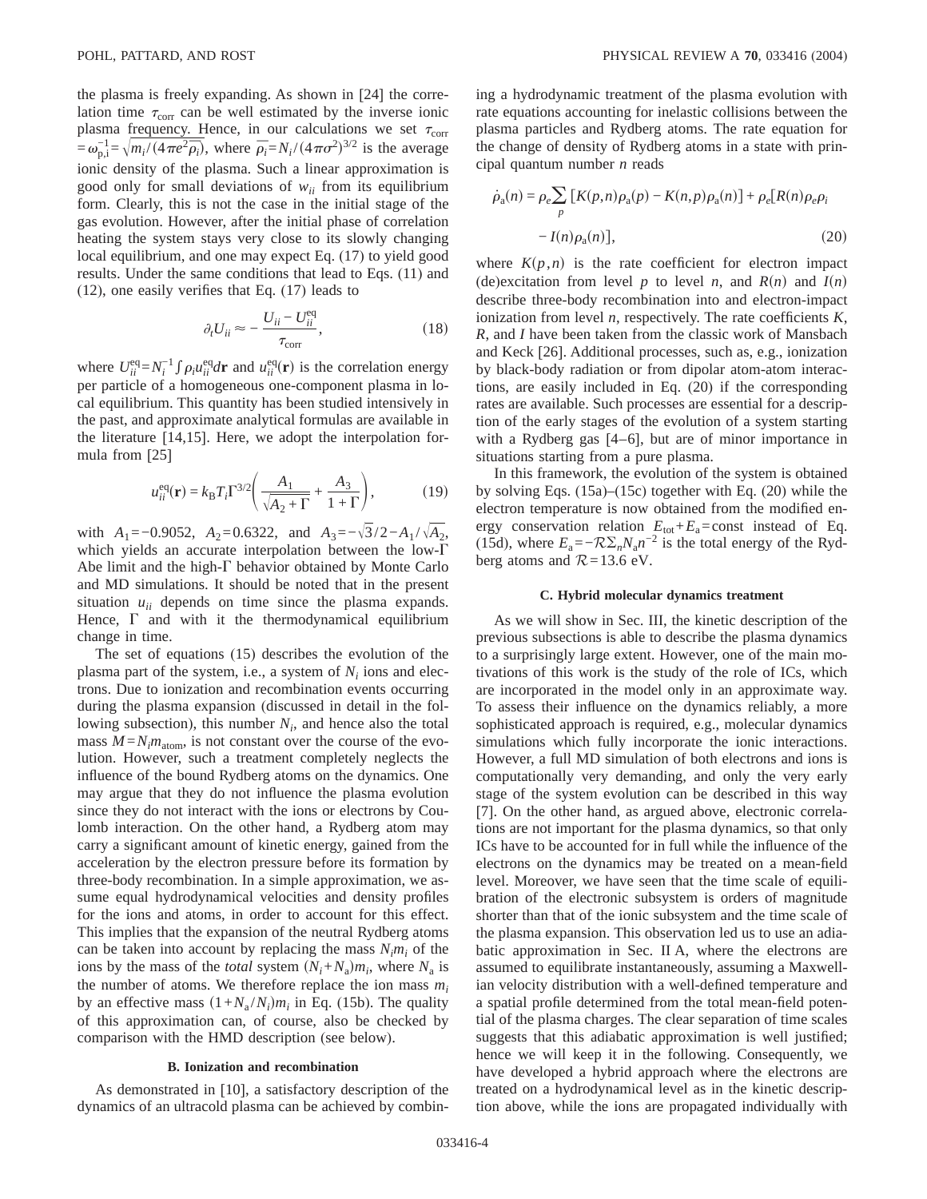the plasma is freely expanding. As shown in [24] the correlation time  $\tau_{\text{corr}}$  can be well estimated by the inverse ionic plasma frequency. Hence, in our calculations we set  $\tau_{\text{corr}}$  $= \omega_{\text{p,i}}^{-1} = \sqrt{m_i/(4\pi e^2 \bar{\rho}_i)}$ , where  $\bar{\rho}_i = N_i/(4\pi \sigma^2)^{3/2}$  is the average ionic density of the plasma. Such a linear approximation is good only for small deviations of  $w_{ii}$  from its equilibrium form. Clearly, this is not the case in the initial stage of the gas evolution. However, after the initial phase of correlation heating the system stays very close to its slowly changing local equilibrium, and one may expect Eq. (17) to yield good results. Under the same conditions that lead to Eqs. (11) and (12), one easily verifies that Eq. (17) leads to

$$
\partial_t U_{ii} \approx -\frac{U_{ii} - U_{ii}^{\text{eq}}}{\tau_{\text{corr}}},\tag{18}
$$

where  $U_{ii}^{\text{eq}} = N_i^{-1} \int \rho_i u_{ii}^{\text{eq}} d\mathbf{r}$  and  $u_{ii}^{\text{eq}}(\mathbf{r})$  is the correlation energy per particle of a homogeneous one-component plasma in local equilibrium. This quantity has been studied intensively in the past, and approximate analytical formulas are available in the literature [14,15]. Here, we adopt the interpolation formula from [25]

$$
u_{ii}^{\text{eq}}(\mathbf{r}) = k_{\text{B}} T_i \Gamma^{3/2} \left( \frac{A_1}{\sqrt{A_2 + \Gamma}} + \frac{A_3}{1 + \Gamma} \right),\tag{19}
$$

with *A*<sub>1</sub>=−0.9052, *A*<sub>2</sub>=0.6322, and *A*<sub>3</sub>=− $\sqrt{3}/2$ −*A*<sub>1</sub>/ $\sqrt{A_2}$ , which yields an accurate interpolation between the low- $\Gamma$ Abe limit and the high- $\Gamma$  behavior obtained by Monte Carlo and MD simulations. It should be noted that in the present situation  $u_{ii}$  depends on time since the plasma expands. Hence,  $\Gamma$  and with it the thermodynamical equilibrium change in time.

The set of equations (15) describes the evolution of the plasma part of the system, i.e., a system of  $N_i$  ions and electrons. Due to ionization and recombination events occurring during the plasma expansion (discussed in detail in the following subsection), this number  $N_i$ , and hence also the total mass  $M = N_i m_{\text{atom}}$ , is not constant over the course of the evolution. However, such a treatment completely neglects the influence of the bound Rydberg atoms on the dynamics. One may argue that they do not influence the plasma evolution since they do not interact with the ions or electrons by Coulomb interaction. On the other hand, a Rydberg atom may carry a significant amount of kinetic energy, gained from the acceleration by the electron pressure before its formation by three-body recombination. In a simple approximation, we assume equal hydrodynamical velocities and density profiles for the ions and atoms, in order to account for this effect. This implies that the expansion of the neutral Rydberg atoms can be taken into account by replacing the mass  $N_i m_i$  of the ions by the mass of the *total* system  $(N_i + N_a)m_i$ , where  $N_a$  is the number of atoms. We therefore replace the ion mass  $m_i$ by an effective mass  $(1+N_a/N_i)m_i$  in Eq. (15b). The quality of this approximation can, of course, also be checked by comparison with the HMD description (see below).

## **B. Ionization and recombination**

As demonstrated in [10], a satisfactory description of the dynamics of an ultracold plasma can be achieved by combining a hydrodynamic treatment of the plasma evolution with rate equations accounting for inelastic collisions between the plasma particles and Rydberg atoms. The rate equation for the change of density of Rydberg atoms in a state with principal quantum number *n* reads

$$
\dot{\rho}_a(n) = \rho_e \sum_p \left[ K(p,n)\rho_a(p) - K(n,p)\rho_a(n) \right] + \rho_e[R(n)\rho_e\rho_i - I(n)\rho_a(n)],\tag{20}
$$

where  $K(p,n)$  is the rate coefficient for electron impact (de)excitation from level *p* to level *n*, and  $R(n)$  and  $I(n)$ describe three-body recombination into and electron-impact ionization from level *n*, respectively. The rate coefficients *K*, *R*, and *I* have been taken from the classic work of Mansbach and Keck [26]. Additional processes, such as, e.g., ionization by black-body radiation or from dipolar atom-atom interactions, are easily included in Eq. (20) if the corresponding rates are available. Such processes are essential for a description of the early stages of the evolution of a system starting with a Rydberg gas [4–6], but are of minor importance in situations starting from a pure plasma.

In this framework, the evolution of the system is obtained by solving Eqs. (15a)–(15c) together with Eq. (20) while the electron temperature is now obtained from the modified energy conservation relation  $E_{\text{tot}}+E_{\text{a}}$ =const instead of Eq. (15d), where  $E_a = -\mathcal{R}\Sigma_n N_a n^{-2}$  is the total energy of the Rydberg atoms and  $R=13.6$  eV.

#### **C. Hybrid molecular dynamics treatment**

As we will show in Sec. III, the kinetic description of the previous subsections is able to describe the plasma dynamics to a surprisingly large extent. However, one of the main motivations of this work is the study of the role of ICs, which are incorporated in the model only in an approximate way. To assess their influence on the dynamics reliably, a more sophisticated approach is required, e.g., molecular dynamics simulations which fully incorporate the ionic interactions. However, a full MD simulation of both electrons and ions is computationally very demanding, and only the very early stage of the system evolution can be described in this way [7]. On the other hand, as argued above, electronic correlations are not important for the plasma dynamics, so that only ICs have to be accounted for in full while the influence of the electrons on the dynamics may be treated on a mean-field level. Moreover, we have seen that the time scale of equilibration of the electronic subsystem is orders of magnitude shorter than that of the ionic subsystem and the time scale of the plasma expansion. This observation led us to use an adiabatic approximation in Sec. II A, where the electrons are assumed to equilibrate instantaneously, assuming a Maxwellian velocity distribution with a well-defined temperature and a spatial profile determined from the total mean-field potential of the plasma charges. The clear separation of time scales suggests that this adiabatic approximation is well justified; hence we will keep it in the following. Consequently, we have developed a hybrid approach where the electrons are treated on a hydrodynamical level as in the kinetic description above, while the ions are propagated individually with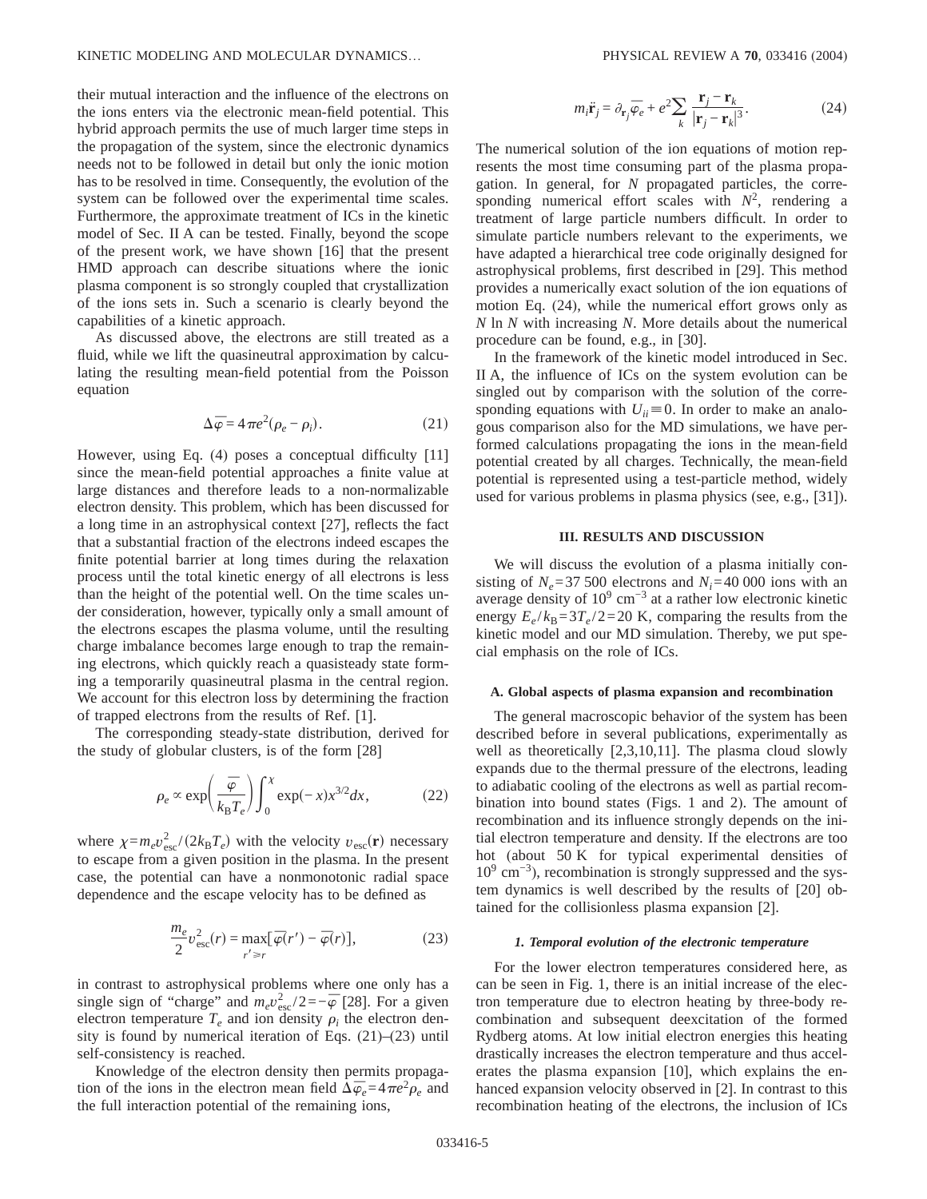their mutual interaction and the influence of the electrons on the ions enters via the electronic mean-field potential. This hybrid approach permits the use of much larger time steps in the propagation of the system, since the electronic dynamics needs not to be followed in detail but only the ionic motion has to be resolved in time. Consequently, the evolution of the system can be followed over the experimental time scales. Furthermore, the approximate treatment of ICs in the kinetic model of Sec. II A can be tested. Finally, beyond the scope of the present work, we have shown [16] that the present HMD approach can describe situations where the ionic plasma component is so strongly coupled that crystallization of the ions sets in. Such a scenario is clearly beyond the capabilities of a kinetic approach.

As discussed above, the electrons are still treated as a fluid, while we lift the quasineutral approximation by calculating the resulting mean-field potential from the Poisson equation

$$
\Delta \overline{\varphi} = 4 \pi e^2 (\rho_e - \rho_i). \tag{21}
$$

However, using Eq. (4) poses a conceptual difficulty [11] since the mean-field potential approaches a finite value at large distances and therefore leads to a non-normalizable electron density. This problem, which has been discussed for a long time in an astrophysical context [27], reflects the fact that a substantial fraction of the electrons indeed escapes the finite potential barrier at long times during the relaxation process until the total kinetic energy of all electrons is less than the height of the potential well. On the time scales under consideration, however, typically only a small amount of the electrons escapes the plasma volume, until the resulting charge imbalance becomes large enough to trap the remaining electrons, which quickly reach a quasisteady state forming a temporarily quasineutral plasma in the central region. We account for this electron loss by determining the fraction of trapped electrons from the results of Ref. [1].

The corresponding steady-state distribution, derived for the study of globular clusters, is of the form [28]

$$
\rho_e \propto \exp\left(\frac{\overline{\varphi}}{k_\text{B}T_e}\right) \int_0^X \exp(-x) x^{3/2} dx,\tag{22}
$$

where  $\chi = m_e v_{\text{esc}}^2 / (2k_B T_e)$  with the velocity  $v_{\text{esc}}(\mathbf{r})$  necessary to escape from a given position in the plasma. In the present case, the potential can have a nonmonotonic radial space dependence and the escape velocity has to be defined as

$$
\frac{m_e}{2}v_{\text{esc}}^2(r) = \max_{r' \ge r} [\overline{\varphi}(r') - \overline{\varphi}(r)],\tag{23}
$$

in contrast to astrophysical problems where one only has a single sign of "charge" and  $m_e v_{\text{esc}}^2/2 = -\bar{\varphi}$  [28]. For a given electron temperature  $T_e$  and ion density  $\rho_i$  the electron density is found by numerical iteration of Eqs. (21)–(23) until self-consistency is reached.

Knowledge of the electron density then permits propagation of the ions in the electron mean field  $\Delta \bar{\varphi}_e = 4\pi e^2 \rho_e$  and the full interaction potential of the remaining ions,

$$
m_i \ddot{\mathbf{r}}_j = \partial_{\mathbf{r}_j} \overline{\varphi}_e + e^2 \sum_k \frac{\mathbf{r}_j - \mathbf{r}_k}{|\mathbf{r}_j - \mathbf{r}_k|^3}.
$$
 (24)

The numerical solution of the ion equations of motion represents the most time consuming part of the plasma propagation. In general, for *N* propagated particles, the corresponding numerical effort scales with  $N^2$ , rendering a treatment of large particle numbers difficult. In order to simulate particle numbers relevant to the experiments, we have adapted a hierarchical tree code originally designed for astrophysical problems, first described in [29]. This method provides a numerically exact solution of the ion equations of motion Eq. (24), while the numerical effort grows only as *N* ln *N* with increasing *N*. More details about the numerical procedure can be found, e.g., in [30].

In the framework of the kinetic model introduced in Sec. II A, the influence of ICs on the system evolution can be singled out by comparison with the solution of the corresponding equations with  $U_{ii} \equiv 0$ . In order to make an analogous comparison also for the MD simulations, we have performed calculations propagating the ions in the mean-field potential created by all charges. Technically, the mean-field potential is represented using a test-particle method, widely used for various problems in plasma physics (see, e.g., [31]).

## **III. RESULTS AND DISCUSSION**

We will discuss the evolution of a plasma initially consisting of  $N_e$ =37 500 electrons and  $N_i$ =40 000 ions with an average density of  $10^9$  cm<sup>-3</sup> at a rather low electronic kinetic energy  $E_e / k_B = 3T_e / 2 = 20$  K, comparing the results from the kinetic model and our MD simulation. Thereby, we put special emphasis on the role of ICs.

# **A. Global aspects of plasma expansion and recombination**

The general macroscopic behavior of the system has been described before in several publications, experimentally as well as theoretically [2,3,10,11]. The plasma cloud slowly expands due to the thermal pressure of the electrons, leading to adiabatic cooling of the electrons as well as partial recombination into bound states (Figs. 1 and 2). The amount of recombination and its influence strongly depends on the initial electron temperature and density. If the electrons are too hot (about 50 K for typical experimental densities of  $10<sup>9</sup>$  cm<sup>-3</sup>), recombination is strongly suppressed and the system dynamics is well described by the results of [20] obtained for the collisionless plasma expansion [2].

#### *1. Temporal evolution of the electronic temperature*

For the lower electron temperatures considered here, as can be seen in Fig. 1, there is an initial increase of the electron temperature due to electron heating by three-body recombination and subsequent deexcitation of the formed Rydberg atoms. At low initial electron energies this heating drastically increases the electron temperature and thus accelerates the plasma expansion [10], which explains the enhanced expansion velocity observed in [2]. In contrast to this recombination heating of the electrons, the inclusion of ICs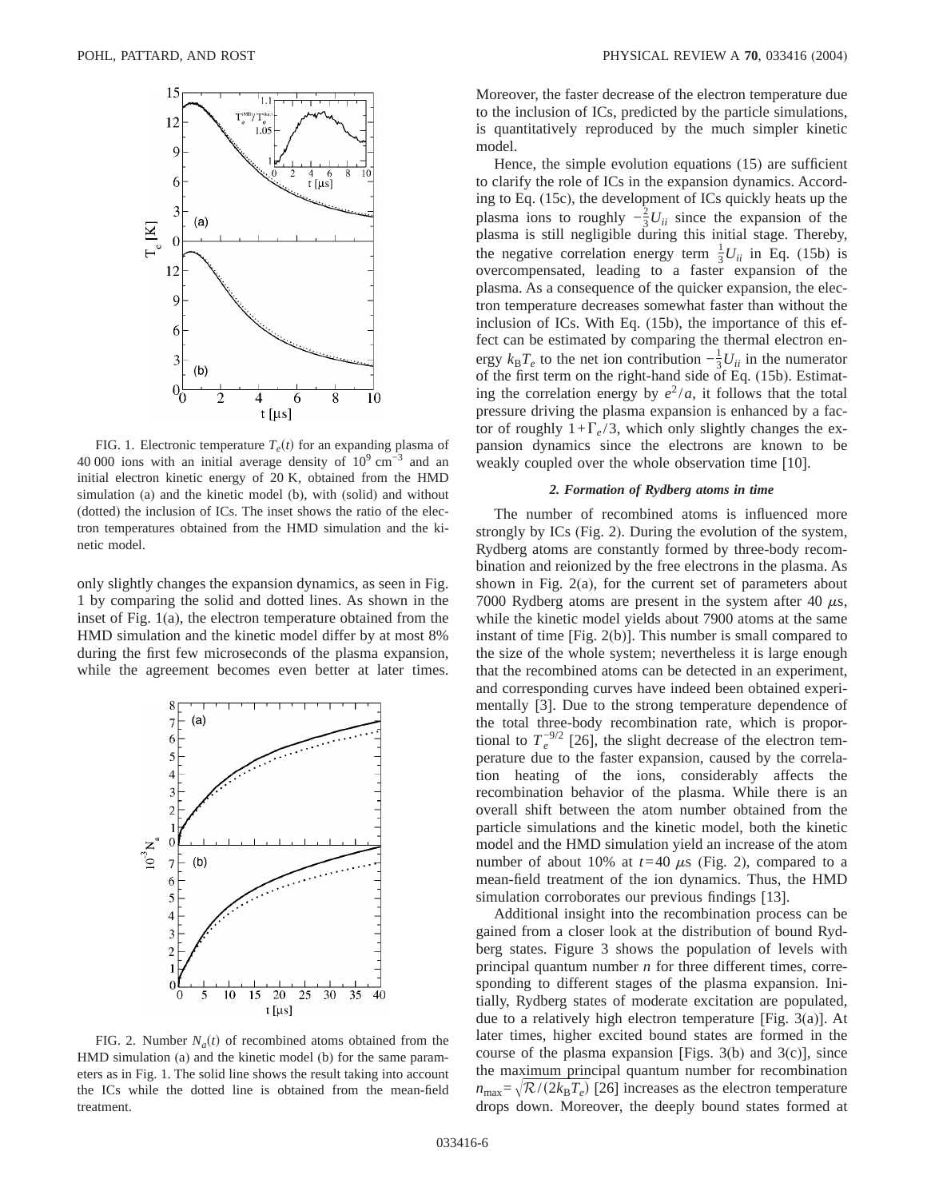

FIG. 1. Electronic temperature  $T_e(t)$  for an expanding plasma of 40 000 ions with an initial average density of  $10^9$  cm<sup>-3</sup> and an initial electron kinetic energy of 20 K, obtained from the HMD simulation (a) and the kinetic model (b), with (solid) and without (dotted) the inclusion of ICs. The inset shows the ratio of the electron temperatures obtained from the HMD simulation and the kinetic model.

only slightly changes the expansion dynamics, as seen in Fig. 1 by comparing the solid and dotted lines. As shown in the inset of Fig. 1(a), the electron temperature obtained from the HMD simulation and the kinetic model differ by at most 8% during the first few microseconds of the plasma expansion, while the agreement becomes even better at later times.



FIG. 2. Number  $N_a(t)$  of recombined atoms obtained from the HMD simulation (a) and the kinetic model (b) for the same parameters as in Fig. 1. The solid line shows the result taking into account the ICs while the dotted line is obtained from the mean-field treatment.

Moreover, the faster decrease of the electron temperature due to the inclusion of ICs, predicted by the particle simulations, is quantitatively reproduced by the much simpler kinetic model.

Hence, the simple evolution equations (15) are sufficient to clarify the role of ICs in the expansion dynamics. According to Eq. (15c), the development of ICs quickly heats up the plasma ions to roughly  $-\frac{2}{3}U_{ii}$  since the expansion of the plasma is still negligible during this initial stage. Thereby, the negative correlation energy term  $\frac{1}{3}U_{ii}$  in Eq. (15b) is overcompensated, leading to a faster expansion of the plasma. As a consequence of the quicker expansion, the electron temperature decreases somewhat faster than without the inclusion of ICs. With Eq. (15b), the importance of this effect can be estimated by comparing the thermal electron energy  $k_B T_e$  to the net ion contribution  $-\frac{1}{3}U_{ii}$  in the numerator of the first term on the right-hand side of Eq. (15b). Estimating the correlation energy by  $e^2/a$ , it follows that the total pressure driving the plasma expansion is enhanced by a factor of roughly  $1+\Gamma_e/3$ , which only slightly changes the expansion dynamics since the electrons are known to be weakly coupled over the whole observation time [10].

## *2. Formation of Rydberg atoms in time*

The number of recombined atoms is influenced more strongly by ICs (Fig. 2). During the evolution of the system, Rydberg atoms are constantly formed by three-body recombination and reionized by the free electrons in the plasma. As shown in Fig. 2(a), for the current set of parameters about 7000 Rydberg atoms are present in the system after 40  $\mu$ s, while the kinetic model yields about 7900 atoms at the same instant of time [Fig. 2(b)]. This number is small compared to the size of the whole system; nevertheless it is large enough that the recombined atoms can be detected in an experiment, and corresponding curves have indeed been obtained experimentally [3]. Due to the strong temperature dependence of the total three-body recombination rate, which is proportional to  $T_e^{-9/2}$  [26], the slight decrease of the electron temperature due to the faster expansion, caused by the correlation heating of the ions, considerably affects the recombination behavior of the plasma. While there is an overall shift between the atom number obtained from the particle simulations and the kinetic model, both the kinetic model and the HMD simulation yield an increase of the atom number of about 10% at  $t=40 \mu s$  (Fig. 2), compared to a mean-field treatment of the ion dynamics. Thus, the HMD simulation corroborates our previous findings [13].

Additional insight into the recombination process can be gained from a closer look at the distribution of bound Rydberg states. Figure 3 shows the population of levels with principal quantum number *n* for three different times, corresponding to different stages of the plasma expansion. Initially, Rydberg states of moderate excitation are populated, due to a relatively high electron temperature [Fig. 3(a)]. At later times, higher excited bound states are formed in the course of the plasma expansion [Figs.  $3(b)$  and  $3(c)$ ], since the maximum principal quantum number for recombination  $n_{\text{max}} = \sqrt{\mathcal{R}/(2k_{\text{B}}T_e)}$  [26] increases as the electron temperature drops down. Moreover, the deeply bound states formed at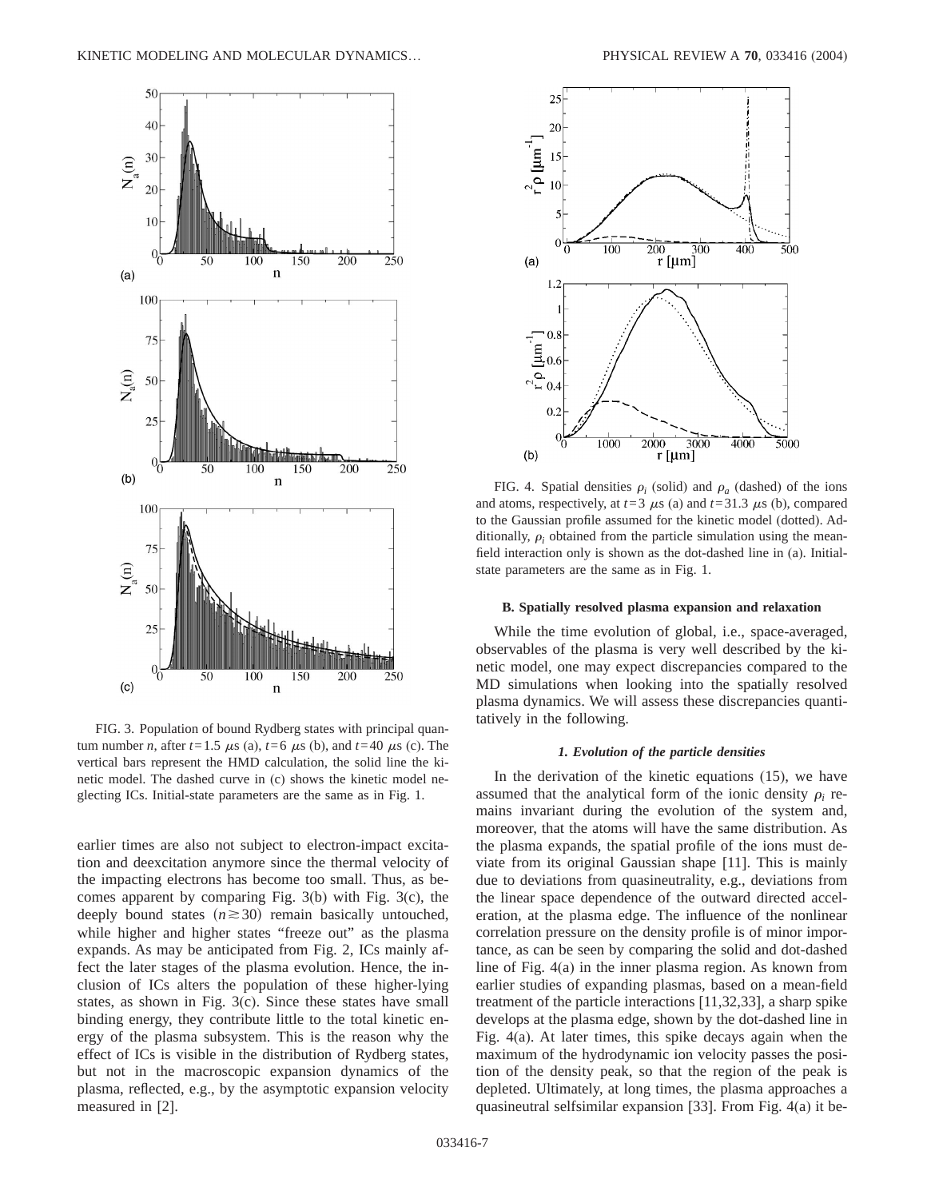

FIG. 3. Population of bound Rydberg states with principal quantum number *n*, after  $t=1.5$   $\mu$ s (a),  $t=6$   $\mu$ s (b), and  $t=40$   $\mu$ s (c). The vertical bars represent the HMD calculation, the solid line the kinetic model. The dashed curve in (c) shows the kinetic model neglecting ICs. Initial-state parameters are the same as in Fig. 1.

earlier times are also not subject to electron-impact excitation and deexcitation anymore since the thermal velocity of the impacting electrons has become too small. Thus, as becomes apparent by comparing Fig. 3(b) with Fig. 3(c), the deeply bound states  $(n \ge 30)$  remain basically untouched, while higher and higher states "freeze out" as the plasma expands. As may be anticipated from Fig. 2, ICs mainly affect the later stages of the plasma evolution. Hence, the inclusion of ICs alters the population of these higher-lying states, as shown in Fig. 3(c). Since these states have small binding energy, they contribute little to the total kinetic energy of the plasma subsystem. This is the reason why the effect of ICs is visible in the distribution of Rydberg states, but not in the macroscopic expansion dynamics of the plasma, reflected, e.g., by the asymptotic expansion velocity measured in [2].



FIG. 4. Spatial densities  $\rho_i$  (solid) and  $\rho_a$  (dashed) of the ions and atoms, respectively, at  $t=3 \mu s$  (a) and  $t=31.3 \mu s$  (b), compared to the Gaussian profile assumed for the kinetic model (dotted). Additionally,  $\rho_i$  obtained from the particle simulation using the meanfield interaction only is shown as the dot-dashed line in (a). Initialstate parameters are the same as in Fig. 1.

#### **B. Spatially resolved plasma expansion and relaxation**

While the time evolution of global, i.e., space-averaged, observables of the plasma is very well described by the kinetic model, one may expect discrepancies compared to the MD simulations when looking into the spatially resolved plasma dynamics. We will assess these discrepancies quantitatively in the following.

#### *1. Evolution of the particle densities*

In the derivation of the kinetic equations (15), we have assumed that the analytical form of the ionic density  $\rho_i$  remains invariant during the evolution of the system and, moreover, that the atoms will have the same distribution. As the plasma expands, the spatial profile of the ions must deviate from its original Gaussian shape [11]. This is mainly due to deviations from quasineutrality, e.g., deviations from the linear space dependence of the outward directed acceleration, at the plasma edge. The influence of the nonlinear correlation pressure on the density profile is of minor importance, as can be seen by comparing the solid and dot-dashed line of Fig. 4(a) in the inner plasma region. As known from earlier studies of expanding plasmas, based on a mean-field treatment of the particle interactions [11,32,33], a sharp spike develops at the plasma edge, shown by the dot-dashed line in Fig. 4(a). At later times, this spike decays again when the maximum of the hydrodynamic ion velocity passes the position of the density peak, so that the region of the peak is depleted. Ultimately, at long times, the plasma approaches a quasineutral selfsimilar expansion [33]. From Fig. 4(a) it be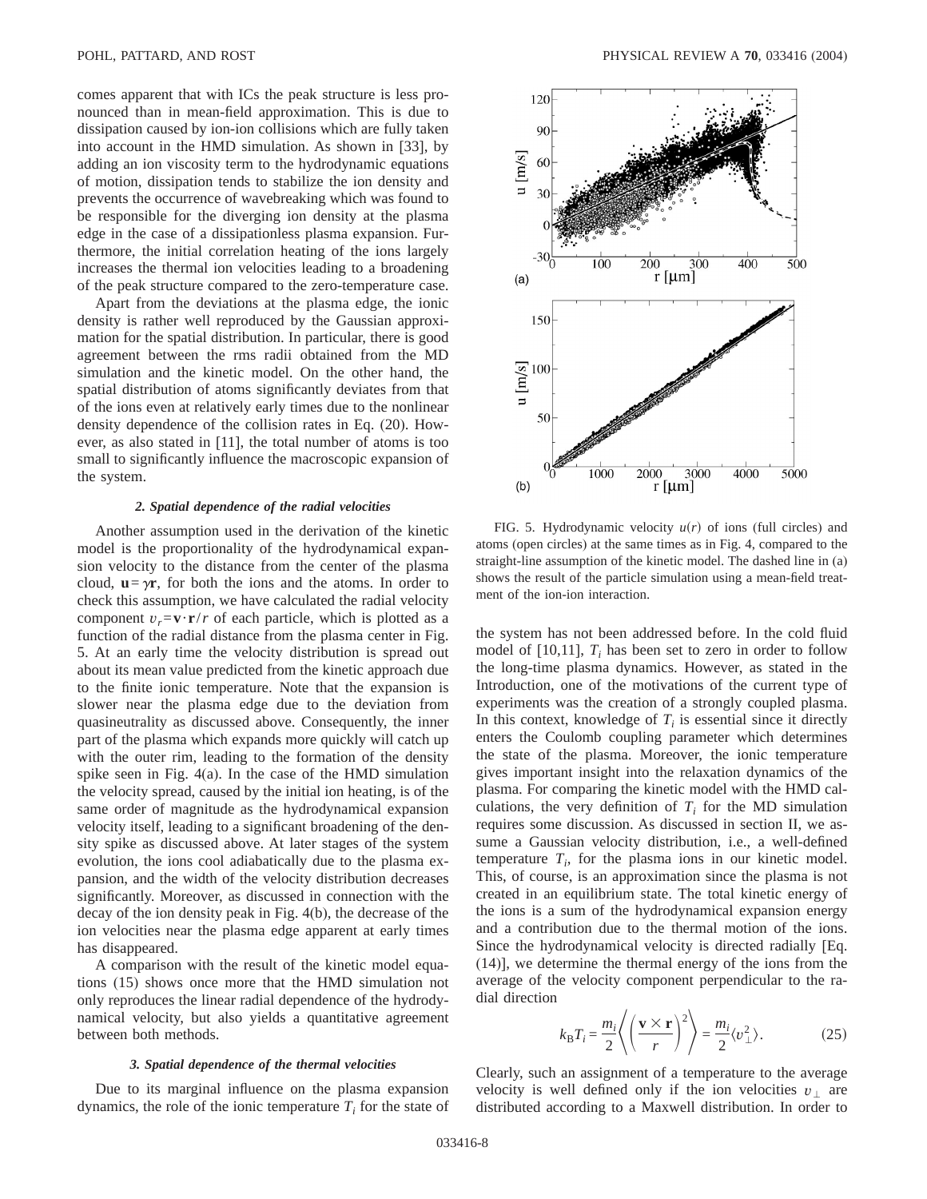comes apparent that with ICs the peak structure is less pronounced than in mean-field approximation. This is due to dissipation caused by ion-ion collisions which are fully taken into account in the HMD simulation. As shown in [33], by adding an ion viscosity term to the hydrodynamic equations of motion, dissipation tends to stabilize the ion density and prevents the occurrence of wavebreaking which was found to be responsible for the diverging ion density at the plasma edge in the case of a dissipationless plasma expansion. Furthermore, the initial correlation heating of the ions largely increases the thermal ion velocities leading to a broadening of the peak structure compared to the zero-temperature case.

Apart from the deviations at the plasma edge, the ionic density is rather well reproduced by the Gaussian approximation for the spatial distribution. In particular, there is good agreement between the rms radii obtained from the MD simulation and the kinetic model. On the other hand, the spatial distribution of atoms significantly deviates from that of the ions even at relatively early times due to the nonlinear density dependence of the collision rates in Eq. (20). However, as also stated in [11], the total number of atoms is too small to significantly influence the macroscopic expansion of the system.

#### *2. Spatial dependence of the radial velocities*

Another assumption used in the derivation of the kinetic model is the proportionality of the hydrodynamical expansion velocity to the distance from the center of the plasma cloud,  $\mathbf{u} = \gamma \mathbf{r}$ , for both the ions and the atoms. In order to check this assumption, we have calculated the radial velocity component  $v_r = \mathbf{v} \cdot \mathbf{r}/r$  of each particle, which is plotted as a function of the radial distance from the plasma center in Fig. 5. At an early time the velocity distribution is spread out about its mean value predicted from the kinetic approach due to the finite ionic temperature. Note that the expansion is slower near the plasma edge due to the deviation from quasineutrality as discussed above. Consequently, the inner part of the plasma which expands more quickly will catch up with the outer rim, leading to the formation of the density spike seen in Fig. 4(a). In the case of the HMD simulation the velocity spread, caused by the initial ion heating, is of the same order of magnitude as the hydrodynamical expansion velocity itself, leading to a significant broadening of the density spike as discussed above. At later stages of the system evolution, the ions cool adiabatically due to the plasma expansion, and the width of the velocity distribution decreases significantly. Moreover, as discussed in connection with the decay of the ion density peak in Fig. 4(b), the decrease of the ion velocities near the plasma edge apparent at early times has disappeared.

A comparison with the result of the kinetic model equations (15) shows once more that the HMD simulation not only reproduces the linear radial dependence of the hydrodynamical velocity, but also yields a quantitative agreement between both methods.

#### *3. Spatial dependence of the thermal velocities*

Due to its marginal influence on the plasma expansion dynamics, the role of the ionic temperature  $T_i$  for the state of



FIG. 5. Hydrodynamic velocity  $u(r)$  of ions (full circles) and atoms (open circles) at the same times as in Fig. 4, compared to the straight-line assumption of the kinetic model. The dashed line in (a) shows the result of the particle simulation using a mean-field treatment of the ion-ion interaction.

the system has not been addressed before. In the cold fluid model of  $[10,11]$ ,  $T_i$  has been set to zero in order to follow the long-time plasma dynamics. However, as stated in the Introduction, one of the motivations of the current type of experiments was the creation of a strongly coupled plasma. In this context, knowledge of  $T_i$  is essential since it directly enters the Coulomb coupling parameter which determines the state of the plasma. Moreover, the ionic temperature gives important insight into the relaxation dynamics of the plasma. For comparing the kinetic model with the HMD calculations, the very definition of  $T_i$  for the MD simulation requires some discussion. As discussed in section II, we assume a Gaussian velocity distribution, i.e., a well-defined temperature  $T_i$ , for the plasma ions in our kinetic model. This, of course, is an approximation since the plasma is not created in an equilibrium state. The total kinetic energy of the ions is a sum of the hydrodynamical expansion energy and a contribution due to the thermal motion of the ions. Since the hydrodynamical velocity is directed radially [Eq. (14)], we determine the thermal energy of the ions from the average of the velocity component perpendicular to the radial direction

$$
k_{\rm B}T_i = \frac{m_i}{2} \left\langle \left(\frac{\mathbf{v} \times \mathbf{r}}{r}\right)^2 \right\rangle = \frac{m_i}{2} \langle v_\perp^2 \rangle. \tag{25}
$$

Clearly, such an assignment of a temperature to the average velocity is well defined only if the ion velocities  $v_{\perp}$  are distributed according to a Maxwell distribution. In order to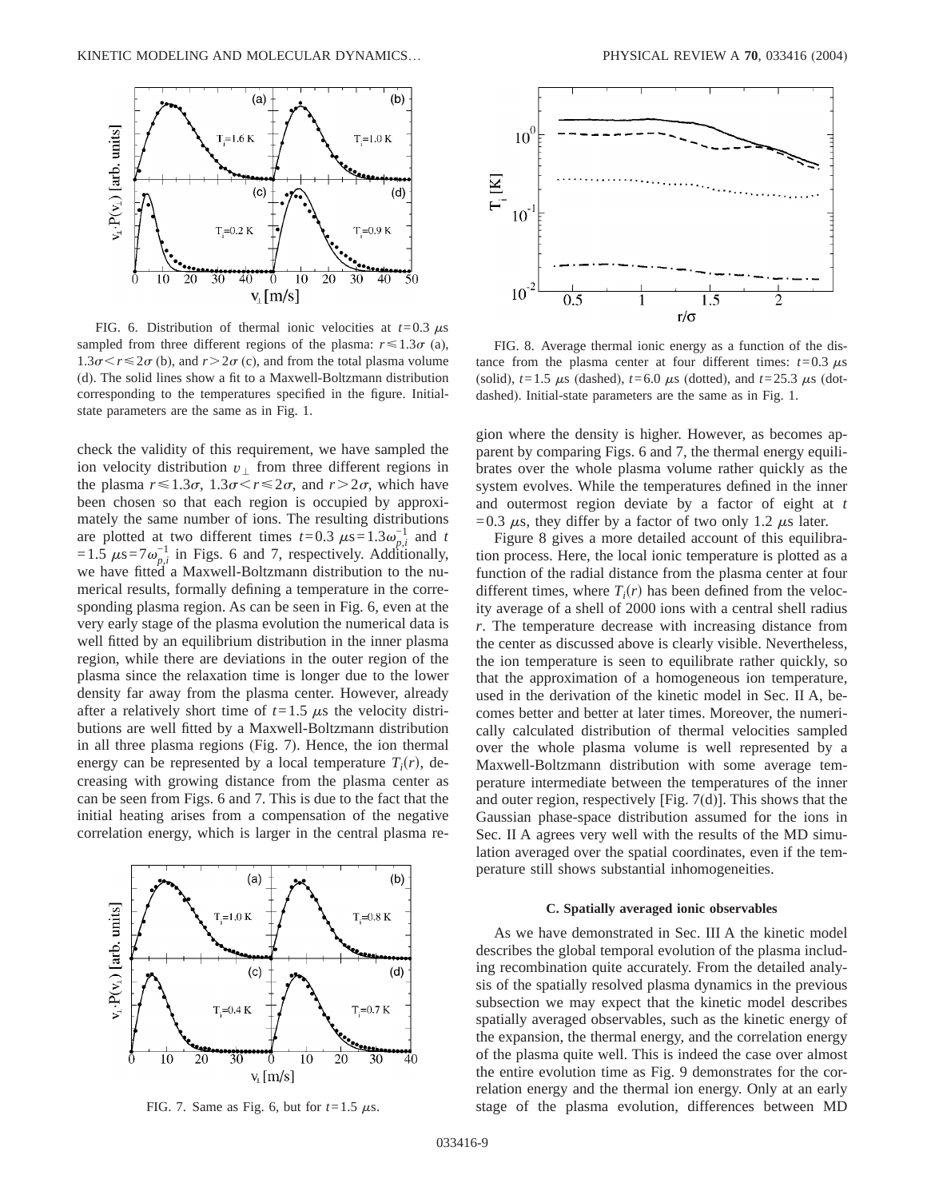

FIG. 6. Distribution of thermal ionic velocities at  $t=0.3$   $\mu$ s sampled from three different regions of the plasma:  $r \le 1.3\sigma$  (a),  $1.3\sigma \le r \le 2\sigma$  (b), and  $r > 2\sigma$  (c), and from the total plasma volume (d). The solid lines show a fit to a Maxwell-Boltzmann distribution corresponding to the temperatures specified in the figure. Initialstate parameters are the same as in Fig. 1.

check the validity of this requirement, we have sampled the ion velocity distribution  $v_{\perp}$  from three different regions in the plasma  $r \le 1.3\sigma$ ,  $1.3\sigma \le r \le 2\sigma$ , and  $r > 2\sigma$ , which have been chosen so that each region is occupied by approximately the same number of ions. The resulting distributions are plotted at two different times  $t=0.3 \ \mu s=1.3\omega_{p,i}^{-1}$  and  $t$  $=1.5 \ \mu s = 7\omega_{p,i}^{-1}$  in Figs. 6 and 7, respectively. Additionally, we have fitted a Maxwell-Boltzmann distribution to the numerical results, formally defining a temperature in the corresponding plasma region. As can be seen in Fig. 6, even at the very early stage of the plasma evolution the numerical data is well fitted by an equilibrium distribution in the inner plasma region, while there are deviations in the outer region of the plasma since the relaxation time is longer due to the lower density far away from the plasma center. However, already after a relatively short time of  $t=1.5 \mu s$  the velocity distributions are well fitted by a Maxwell-Boltzmann distribution in all three plasma regions (Fig. 7). Hence, the ion thermal energy can be represented by a local temperature  $T_i(r)$ , decreasing with growing distance from the plasma center as can be seen from Figs. 6 and 7. This is due to the fact that the initial heating arises from a compensation of the negative correlation energy, which is larger in the central plasma re-



FIG. 7. Same as Fig. 6, but for  $t=1.5 \mu s$ .



FIG. 8. Average thermal ionic energy as a function of the distance from the plasma center at four different times:  $t=0.3 \mu s$ (solid),  $t=1.5 \mu s$  (dashed),  $t=6.0 \mu s$  (dotted), and  $t=25.3 \mu s$  (dotdashed). Initial-state parameters are the same as in Fig. 1.

gion where the density is higher. However, as becomes apparent by comparing Figs. 6 and 7, the thermal energy equilibrates over the whole plasma volume rather quickly as the system evolves. While the temperatures defined in the inner and outermost region deviate by a factor of eight at *t* =0.3  $\mu$ s, they differ by a factor of two only 1.2  $\mu$ s later.

Figure 8 gives a more detailed account of this equilibration process. Here, the local ionic temperature is plotted as a function of the radial distance from the plasma center at four different times, where  $T_i(r)$  has been defined from the velocity average of a shell of 2000 ions with a central shell radius *r*. The temperature decrease with increasing distance from the center as discussed above is clearly visible. Nevertheless, the ion temperature is seen to equilibrate rather quickly, so that the approximation of a homogeneous ion temperature, used in the derivation of the kinetic model in Sec. II A, becomes better and better at later times. Moreover, the numerically calculated distribution of thermal velocities sampled over the whole plasma volume is well represented by a Maxwell-Boltzmann distribution with some average temperature intermediate between the temperatures of the inner and outer region, respectively [Fig. 7(d)]. This shows that the Gaussian phase-space distribution assumed for the ions in Sec. II A agrees very well with the results of the MD simulation averaged over the spatial coordinates, even if the temperature still shows substantial inhomogeneities.

## **C. Spatially averaged ionic observables**

As we have demonstrated in Sec. III A the kinetic model describes the global temporal evolution of the plasma including recombination quite accurately. From the detailed analysis of the spatially resolved plasma dynamics in the previous subsection we may expect that the kinetic model describes spatially averaged observables, such as the kinetic energy of the expansion, the thermal energy, and the correlation energy of the plasma quite well. This is indeed the case over almost the entire evolution time as Fig. 9 demonstrates for the correlation energy and the thermal ion energy. Only at an early stage of the plasma evolution, differences between MD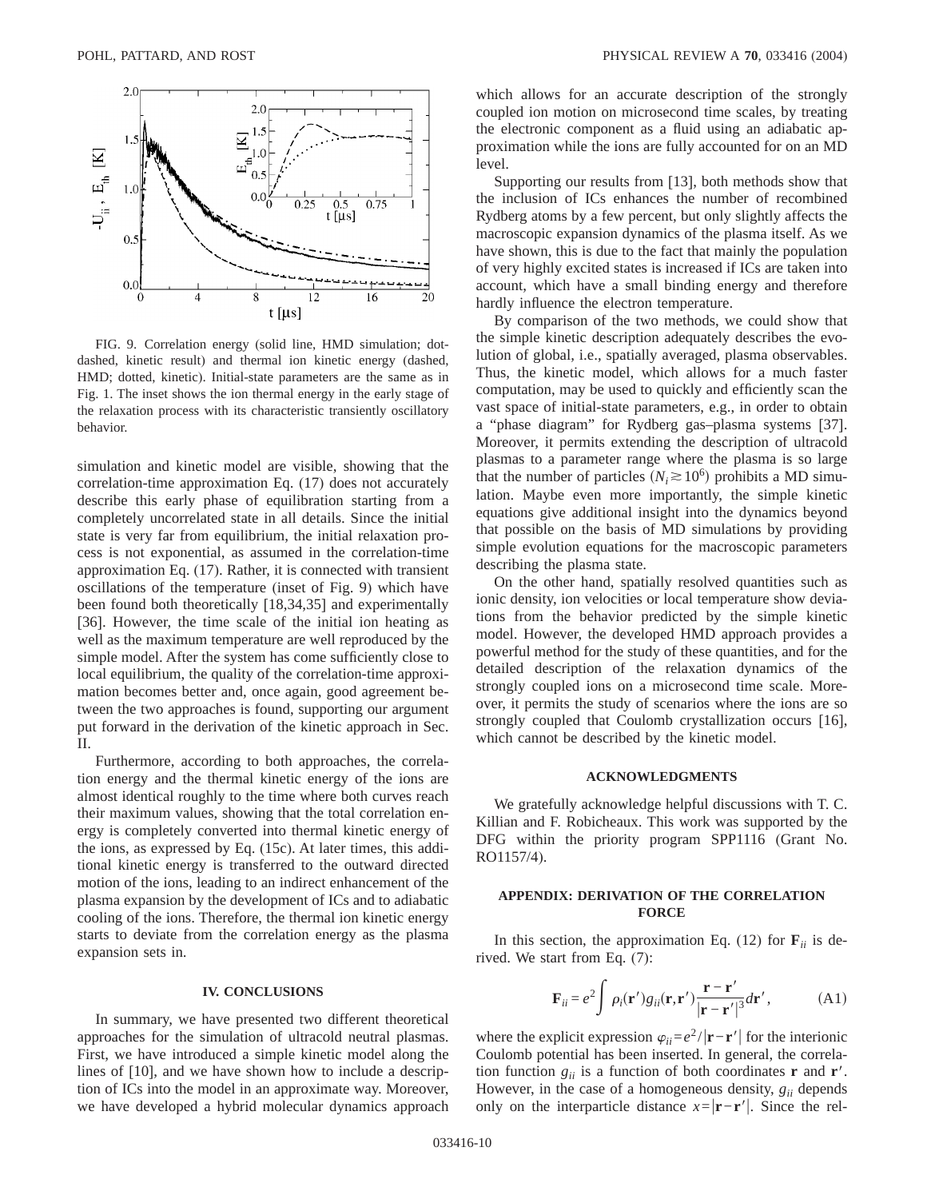

FIG. 9. Correlation energy (solid line, HMD simulation; dotdashed, kinetic result) and thermal ion kinetic energy (dashed, HMD; dotted, kinetic). Initial-state parameters are the same as in Fig. 1. The inset shows the ion thermal energy in the early stage of the relaxation process with its characteristic transiently oscillatory behavior.

simulation and kinetic model are visible, showing that the correlation-time approximation Eq. (17) does not accurately describe this early phase of equilibration starting from a completely uncorrelated state in all details. Since the initial state is very far from equilibrium, the initial relaxation process is not exponential, as assumed in the correlation-time approximation Eq. (17). Rather, it is connected with transient oscillations of the temperature (inset of Fig. 9) which have been found both theoretically [18,34,35] and experimentally [36]. However, the time scale of the initial ion heating as well as the maximum temperature are well reproduced by the simple model. After the system has come sufficiently close to local equilibrium, the quality of the correlation-time approximation becomes better and, once again, good agreement between the two approaches is found, supporting our argument put forward in the derivation of the kinetic approach in Sec. II.

Furthermore, according to both approaches, the correlation energy and the thermal kinetic energy of the ions are almost identical roughly to the time where both curves reach their maximum values, showing that the total correlation energy is completely converted into thermal kinetic energy of the ions, as expressed by Eq. (15c). At later times, this additional kinetic energy is transferred to the outward directed motion of the ions, leading to an indirect enhancement of the plasma expansion by the development of ICs and to adiabatic cooling of the ions. Therefore, the thermal ion kinetic energy starts to deviate from the correlation energy as the plasma expansion sets in.

# **IV. CONCLUSIONS**

In summary, we have presented two different theoretical approaches for the simulation of ultracold neutral plasmas. First, we have introduced a simple kinetic model along the lines of [10], and we have shown how to include a description of ICs into the model in an approximate way. Moreover, we have developed a hybrid molecular dynamics approach which allows for an accurate description of the strongly coupled ion motion on microsecond time scales, by treating the electronic component as a fluid using an adiabatic approximation while the ions are fully accounted for on an MD level.

Supporting our results from [13], both methods show that the inclusion of ICs enhances the number of recombined Rydberg atoms by a few percent, but only slightly affects the macroscopic expansion dynamics of the plasma itself. As we have shown, this is due to the fact that mainly the population of very highly excited states is increased if ICs are taken into account, which have a small binding energy and therefore hardly influence the electron temperature.

By comparison of the two methods, we could show that the simple kinetic description adequately describes the evolution of global, i.e., spatially averaged, plasma observables. Thus, the kinetic model, which allows for a much faster computation, may be used to quickly and efficiently scan the vast space of initial-state parameters, e.g., in order to obtain a "phase diagram" for Rydberg gas–plasma systems [37]. Moreover, it permits extending the description of ultracold plasmas to a parameter range where the plasma is so large that the number of particles  $(N_i \ge 10^6)$  prohibits a MD simulation. Maybe even more importantly, the simple kinetic equations give additional insight into the dynamics beyond that possible on the basis of MD simulations by providing simple evolution equations for the macroscopic parameters describing the plasma state.

On the other hand, spatially resolved quantities such as ionic density, ion velocities or local temperature show deviations from the behavior predicted by the simple kinetic model. However, the developed HMD approach provides a powerful method for the study of these quantities, and for the detailed description of the relaxation dynamics of the strongly coupled ions on a microsecond time scale. Moreover, it permits the study of scenarios where the ions are so strongly coupled that Coulomb crystallization occurs [16], which cannot be described by the kinetic model.

#### **ACKNOWLEDGMENTS**

We gratefully acknowledge helpful discussions with T. C. Killian and F. Robicheaux. This work was supported by the DFG within the priority program SPP1116 (Grant No. RO1157/4).

# **APPENDIX: DERIVATION OF THE CORRELATION FORCE**

In this section, the approximation Eq. (12) for  $\mathbf{F}_{ii}$  is derived. We start from Eq. (7):

$$
\mathbf{F}_{ii} = e^2 \int \rho_i(\mathbf{r}') g_{ii}(\mathbf{r}, \mathbf{r}') \frac{\mathbf{r} - \mathbf{r}'}{|\mathbf{r} - \mathbf{r}'|^3} d\mathbf{r}', \tag{A1}
$$

where the explicit expression  $\varphi_{ii} = e^2 / |\mathbf{r} - \mathbf{r}'|$  for the interionic Coulomb potential has been inserted. In general, the correlation function  $g_{ii}$  is a function of both coordinates **r** and **r**'. However, in the case of a homogeneous density, *gii* depends only on the interparticle distance  $x=|\mathbf{r}-\mathbf{r}'|$ . Since the rel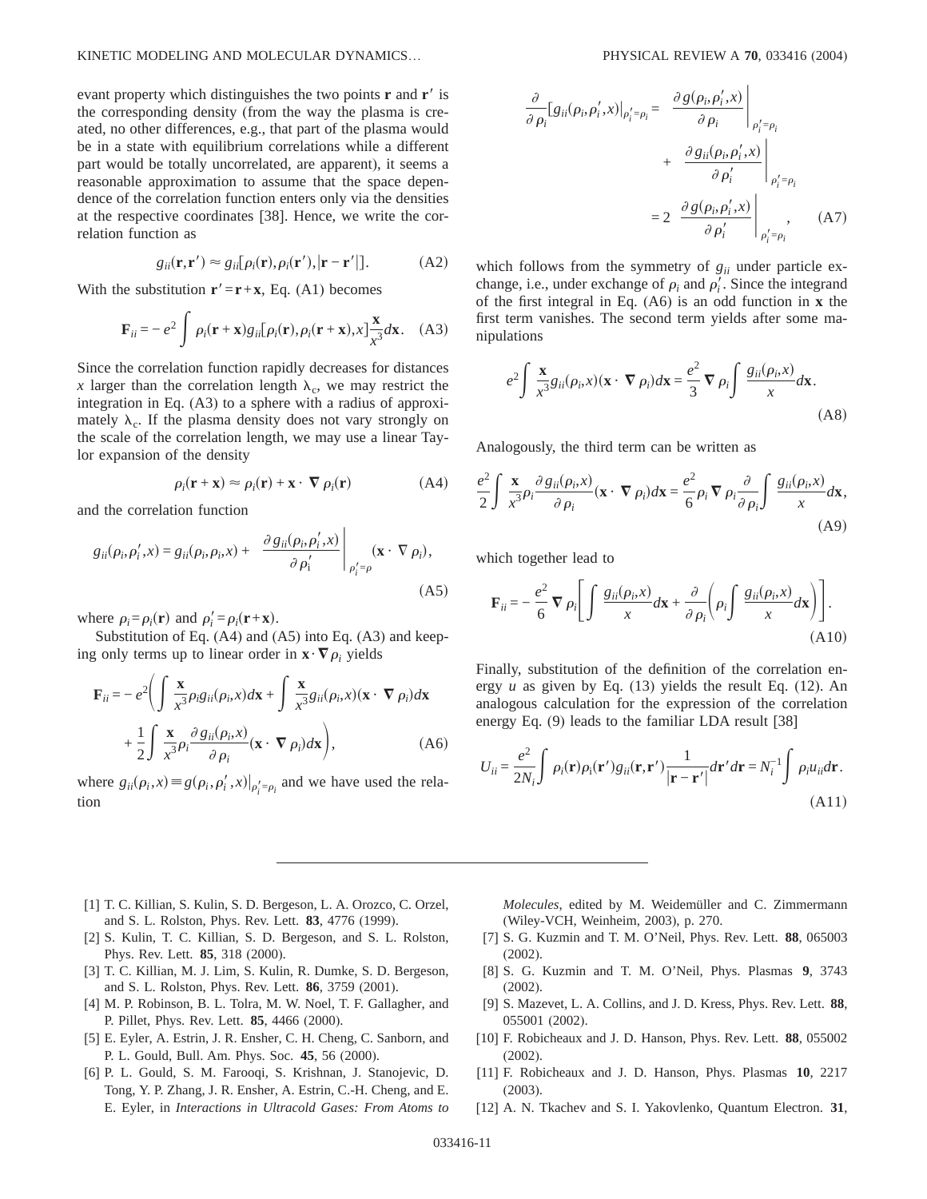evant property which distinguishes the two points **r** and **r**<sup> $\prime$ </sup> is the corresponding density (from the way the plasma is created, no other differences, e.g., that part of the plasma would be in a state with equilibrium correlations while a different part would be totally uncorrelated, are apparent), it seems a reasonable approximation to assume that the space dependence of the correlation function enters only via the densities at the respective coordinates [38]. Hence, we write the correlation function as

$$
g_{ii}(\mathbf{r}, \mathbf{r}') \approx g_{ii}[\rho_i(\mathbf{r}), \rho_i(\mathbf{r}'), |\mathbf{r} - \mathbf{r}'|]. \tag{A2}
$$

With the substitution  $\mathbf{r}' = \mathbf{r} + \mathbf{x}$ , Eq. (A1) becomes

$$
\mathbf{F}_{ii} = -e^2 \int \rho_i(\mathbf{r} + \mathbf{x}) g_{ii} [\rho_i(\mathbf{r}), \rho_i(\mathbf{r} + \mathbf{x}), x] \frac{\mathbf{x}}{x^3} dx. \quad (A3)
$$

Since the correlation function rapidly decreases for distances x larger than the correlation length  $\lambda_c$ , we may restrict the integration in Eq. (A3) to a sphere with a radius of approximately  $\lambda_c$ . If the plasma density does not vary strongly on the scale of the correlation length, we may use a linear Taylor expansion of the density

$$
\rho_i(\mathbf{r} + \mathbf{x}) \approx \rho_i(\mathbf{r}) + \mathbf{x} \cdot \nabla \rho_i(\mathbf{r})
$$
 (A4)

and the correlation function

$$
g_{ii}(\rho_i, \rho'_i, x) = g_{ii}(\rho_i, \rho_i, x) + \left. \frac{\partial g_{ii}(\rho_i, \rho'_i, x)}{\partial \rho'_i} \right|_{\rho'_i = \rho} (\mathbf{x} \cdot \nabla \rho_i),
$$
\n(A5)

where  $\rho_i = \rho_i(\mathbf{r})$  and  $\rho'_i = \rho_i(\mathbf{r} + \mathbf{x})$ .

Substitution of Eq. (A4) and (A5) into Eq. (A3) and keeping only terms up to linear order in  $\mathbf{x} \cdot \nabla \rho_i$  yields

$$
\mathbf{F}_{ii} = -e^2 \bigg( \int \frac{\mathbf{x}}{x^3} \rho_i g_{ii}(\rho_i, x) dx + \int \frac{\mathbf{x}}{x^3} g_{ii}(\rho_i, x) (\mathbf{x} \cdot \nabla \rho_i) dx \n+ \frac{1}{2} \int \frac{\mathbf{x}}{x^3} \rho_i \frac{\partial g_{ii}(\rho_i, x)}{\partial \rho_i} (\mathbf{x} \cdot \nabla \rho_i) dx \bigg),
$$
\n(A6)

where  $g_{ii}(\rho_i, x) \equiv g(\rho_i, \rho'_i, x)|_{\rho'_i = \rho_i}$  and we have used the relation

$$
\frac{\partial}{\partial \rho_{i}} [g_{ii}(\rho_{i}, \rho'_{i}, x)]_{\rho'_{i} = \rho_{i}} = \left. \frac{\partial g(\rho_{i}, \rho'_{i}, x)}{\partial \rho_{i}} \right|_{\rho'_{i} = \rho_{i}}
$$
\n
$$
+ \left. \frac{\partial g_{ii}(\rho_{i}, \rho'_{i}, x)}{\partial \rho'_{i}} \right|_{\rho'_{i} = \rho_{i}}
$$
\n
$$
= 2 \left. \frac{\partial g(\rho_{i}, \rho'_{i}, x)}{\partial \rho'_{i}} \right|_{\rho'_{i} = \rho_{i}}, \quad (A7)
$$

which follows from the symmetry of *gii* under particle exchange, i.e., under exchange of  $\rho_i$  and  $\rho'_i$ . Since the integrand of the first integral in Eq. (A6) is an odd function in **x** the first term vanishes. The second term yields after some manipulations

$$
e^{2} \int \frac{\mathbf{x}}{x^{3}} g_{ii}(\rho_{i}, x) (\mathbf{x} \cdot \nabla \rho_{i}) d\mathbf{x} = \frac{e^{2}}{3} \nabla \rho_{i} \int \frac{g_{ii}(\rho_{i}, x)}{x} d\mathbf{x}.
$$
\n(A8)

Analogously, the third term can be written as

$$
\frac{e^2}{2} \int \frac{\mathbf{x}}{x^3} \rho_i \frac{\partial g_{ii}(\rho_i, x)}{\partial \rho_i} (\mathbf{x} \cdot \nabla \rho_i) d\mathbf{x} = \frac{e^2}{6} \rho_i \nabla \rho_i \frac{\partial}{\partial \rho_i} \int \frac{g_{ii}(\rho_i, x)}{x} d\mathbf{x},
$$
\n(A9)

which together lead to

$$
\mathbf{F}_{ii} = -\frac{e^2}{6} \nabla \rho_i \left[ \int \frac{g_{ii}(\rho_i, x)}{x} dx + \frac{\partial}{\partial \rho_i} \left( \rho_i \int \frac{g_{ii}(\rho_i, x)}{x} dx \right) \right].
$$
\n(A10)

Finally, substitution of the definition of the correlation energy *u* as given by Eq. (13) yields the result Eq. (12). An analogous calculation for the expression of the correlation energy Eq. (9) leads to the familiar LDA result [38]

$$
U_{ii} = \frac{e^2}{2N_i} \int \rho_i(\mathbf{r}) \rho_i(\mathbf{r'}) g_{ii}(\mathbf{r}, \mathbf{r'}) \frac{1}{|\mathbf{r} - \mathbf{r'}|} d\mathbf{r'} d\mathbf{r} = N_i^{-1} \int \rho_i u_{ii} d\mathbf{r}.
$$
\n(A11)

- [1] T. C. Killian, S. Kulin, S. D. Bergeson, L. A. Orozco, C. Orzel, and S. L. Rolston, Phys. Rev. Lett. **83**, 4776 (1999).
- [2] S. Kulin, T. C. Killian, S. D. Bergeson, and S. L. Rolston, Phys. Rev. Lett. **85**, 318 (2000).
- [3] T. C. Killian, M. J. Lim, S. Kulin, R. Dumke, S. D. Bergeson, and S. L. Rolston, Phys. Rev. Lett. **86**, 3759 (2001).
- [4] M. P. Robinson, B. L. Tolra, M. W. Noel, T. F. Gallagher, and P. Pillet, Phys. Rev. Lett. **85**, 4466 (2000).
- [5] E. Eyler, A. Estrin, J. R. Ensher, C. H. Cheng, C. Sanborn, and P. L. Gould, Bull. Am. Phys. Soc. **45**, 56 (2000).
- [6] P. L. Gould, S. M. Farooqi, S. Krishnan, J. Stanojevic, D. Tong, Y. P. Zhang, J. R. Ensher, A. Estrin, C.-H. Cheng, and E. E. Eyler, in *Interactions in Ultracold Gases: From Atoms to*

*Molecules*, edited by M. Weidemüller and C. Zimmermann (Wiley-VCH, Weinheim, 2003), p. 270.

- [7] S. G. Kuzmin and T. M. O'Neil, Phys. Rev. Lett. **88**, 065003 (2002).
- [8] S. G. Kuzmin and T. M. O'Neil, Phys. Plasmas **9**, 3743 (2002).
- [9] S. Mazevet, L. A. Collins, and J. D. Kress, Phys. Rev. Lett. **88**, 055001 (2002).
- [10] F. Robicheaux and J. D. Hanson, Phys. Rev. Lett. **88**, 055002 (2002).
- [11] F. Robicheaux and J. D. Hanson, Phys. Plasmas **10**, 2217 (2003).
- [12] A. N. Tkachev and S. I. Yakovlenko, Quantum Electron. **31**,